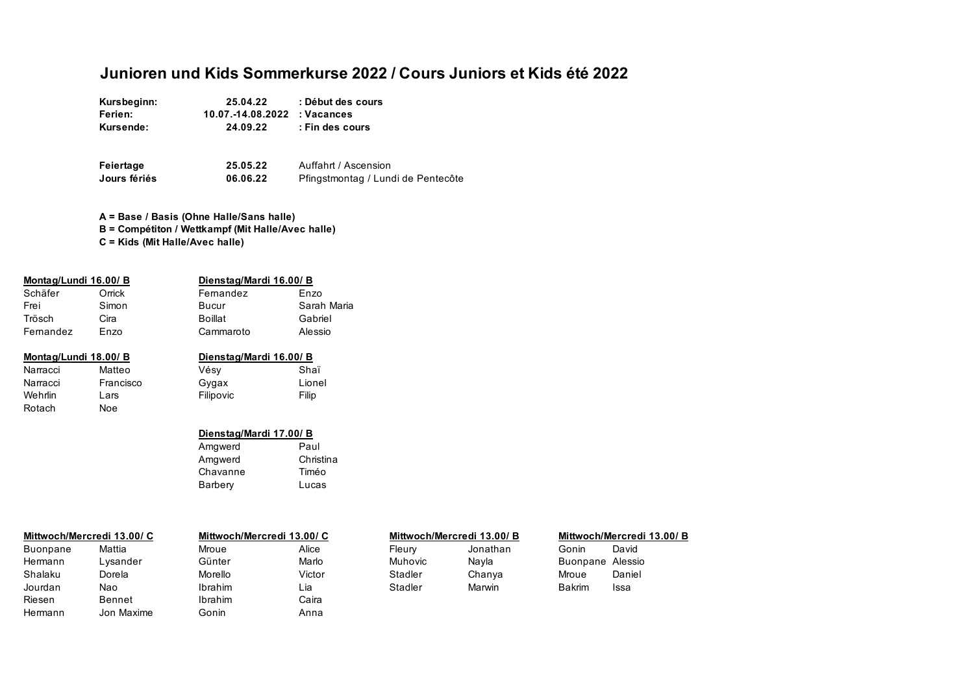# **Junioren und Kids Sommerkurse 2022 / Cours Juniors et Kids été 2022**

| Kursbeginn: | 25.04.22                     | : Début des cours |
|-------------|------------------------------|-------------------|
| Ferien:     | 10.07.-14.08.2022 : Vacances |                   |
| Kursende:   | 24.09.22                     | : Fin des cours   |

| Feiertage    | 25.05.22 | Auffahrt / Ascension               |
|--------------|----------|------------------------------------|
| Jours fériés | 06.06.22 | Pfingstmontag / Lundi de Pentecôte |

**A = Base / Basis (Ohne Halle/Sans halle) B = Compétiton / Wettkampf (Mit Halle/Avec halle) C = Kids (Mit Halle/Avec halle)**

| Montag/Lundi 16.00/ B |        |                | Dienstag/Mardi 16.00/B |  |  |
|-----------------------|--------|----------------|------------------------|--|--|
| Schäfer               | Orrick | Fernandez      | Enzo                   |  |  |
| Frei                  | Simon  | Bucur          | Sarah Maria            |  |  |
| Trösch                | Cira   | <b>Boillat</b> | Gabriel                |  |  |
| Fernandez             | Enzo   | Cammaroto      | Alessio                |  |  |

| Montag/Lundi 18.00/ B |           | Dienstag/Mardi 16.00/ B |        |  |
|-----------------------|-----------|-------------------------|--------|--|
| Narracci              | Matteo    | Vésv                    | Shaï   |  |
| Narracci              | Francisco | Gygax                   | Lionel |  |
| Wehrlin               | Lars      | Filipovic               | Filip  |  |
| Rotach                | Noe       |                         |        |  |

| Dienstag/Mardi 17.00/B |           |
|------------------------|-----------|
| Amgwerd                | Paul      |
| Amgwerd                | Christina |
| Chavanne               | Timéo     |
| Barbery                | Lucas     |

|          | Mittwoch/Mercredi 13.00/ C |                | Mittwoch/Mercredi 13.00/ C |         | Mittwoch/Mercredi 13.00/ B |                  | Mittwoch/Mercredi 13.00/B |
|----------|----------------------------|----------------|----------------------------|---------|----------------------------|------------------|---------------------------|
| Buonpane | Mattia                     | Mroue          | Alice                      | Fleury  | Jonathan                   | Gonin            | David                     |
| Hermann  | Lysander                   | Günter         | Marlo                      | Muhovic | Navla                      | Buonpane Alessio |                           |
| Shalaku  | Dorela                     | Morello        | Victor                     | Stadler | Chanva                     | Mroue            | Daniel                    |
| Jourdan  | Nao.                       | <b>Ibrahim</b> | Lia                        | Stadler | Marwin                     | <b>Bakrim</b>    | Issa                      |
| Riesen   | Bennet                     | <b>Ibrahim</b> | Caira                      |         |                            |                  |                           |
| Hermann  | Jon Maxime                 | Gonin          | Anna                       |         |                            |                  |                           |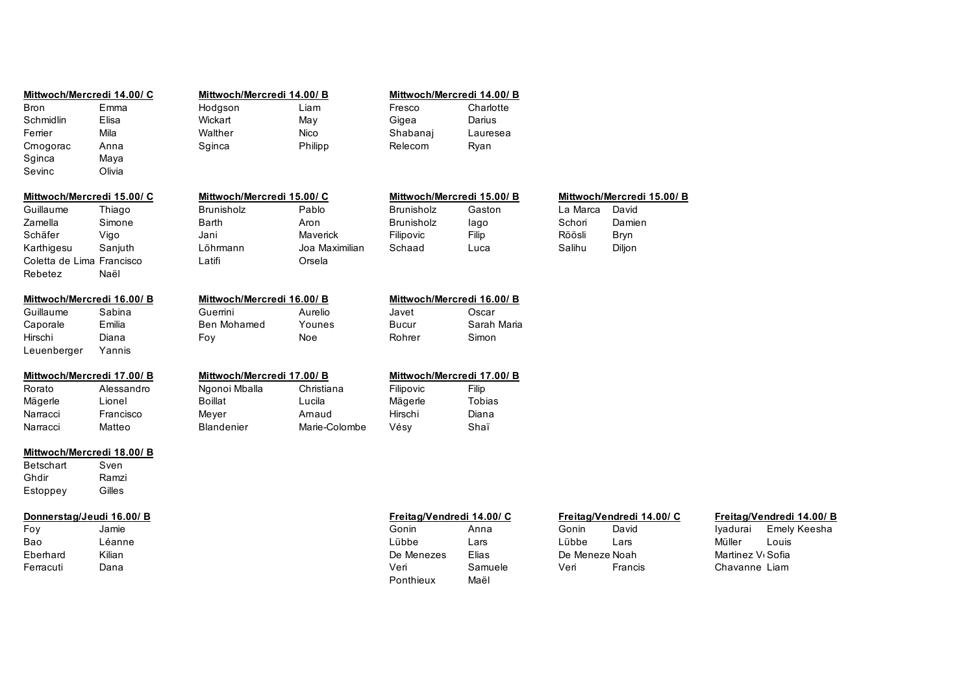| Bron      | ⊨mma   |
|-----------|--------|
| Schmidlin | Elisa  |
| Ferrier   | Mila   |
| Crnogorac | Anna   |
| Sginca    | Maya   |
| Sevinc    | Olivia |
|           |        |

Coletta de Lima Francisco Rebetez Naël

Leuenberger Yannis

| Mittwoch/Mercredi 14.00/ C |       |         | Mittwoch/Mercredi 14.00/B |          | Mittwoch/Mercredi 14.00/B |  |
|----------------------------|-------|---------|---------------------------|----------|---------------------------|--|
| Bron                       | Emma  | Hodgson | Liam                      | Fresco   | Charlotte                 |  |
| Schmidlin                  | Elisa | Wickart | Mav                       | Gigea    | Darius                    |  |
| Ferrier                    | Mila  | Walther | Nico                      | Shabanaj | Lauresea                  |  |
| Crnogorac                  | Anna  | Sainca  | Philipp                   | Relecom  | Rvan                      |  |
| Sainca                     | Mava  |         |                           |          |                           |  |

# **Mittwoch/Mercredi 15.00/ C Mittwoch/Mercredi 15.00/ C Mittwoch/Mercredi 15.00/ B Mittwoch/Mercredi 15.00/ B**

| Guillaume                 | Thiago  | <b>Brunisholz</b> | Pablo          | <b>Brunisholz</b> | Gaston | La Marca | David  |
|---------------------------|---------|-------------------|----------------|-------------------|--------|----------|--------|
| Zamella                   | Simone  | Barth             | Aron           | <b>Brunisholz</b> | lago   | Schori   | Damien |
| Schäfer                   | Vigo    | Jani              | Maverick       | Filipovic         | Filip  | Röösli   | Bryn   |
| Karthigesu                | Saniuth | Löhrmann          | Joa Maximilian | Schaad            | Luca   | Salihu   | Diljon |
| Coletta de Lima Francisco |         | .atifi            | Orsela         |                   |        |          |        |

| Guillaume | Sabina | Guerrini    | Aurelio | Javet  | Oscar       |
|-----------|--------|-------------|---------|--------|-------------|
| Caporale  | Emilia | Ben Mohamed | Younes  | Bucur  | Sarah Maria |
| Hirschi   | Diana  | Fov         | Noe     | Rohrer | Simon       |
|           |        |             |         |        |             |

## **Mittwoch/Mercredi 17.00/ B Mittwoch/Mercredi 17.00/ B Mittwoch/Mercredi 17.00/ B**

| Rorato   | Alessandro | Ngonoi Mballa     | Christiana    | Filipovic | Filip  |
|----------|------------|-------------------|---------------|-----------|--------|
| Mägerle  | Lionel     | Boillat           | ∟ucila        | Mägerle   | Tobias |
| Narracci | Francisco  | Mever             | Arnaud        | Hirschi   | Diana  |
| Narracci | Matteo     | <b>Blandenier</b> | Marie-Colombe | Vésv      | Shaï   |

### **Mittwoch/Mercredi 18.00/ B**

Betschart Sven Ghdir Ramzi Estoppey Gilles

# Narracci Matteo Blandenier Marie-Colombe Vésy Shaï

# **Mittwoch/Mercredi 16.00/ B Mittwoch/Mercredi 16.00/ B Mittwoch/Mercredi 16.00/ B**

| Estoppey  | UIIIUS                   |                           |         |                |                           |                               |                          |
|-----------|--------------------------|---------------------------|---------|----------------|---------------------------|-------------------------------|--------------------------|
|           | Donnerstag/Jeudi 16.00/B | Freitag/Vendredi 14.00/ C |         |                | Freitag/Vendredi 14.00/ C |                               | Freitag/Vendredi 14.00/B |
| Fov       | Jamie                    | Gonin                     | Anna    | Gonin          | David                     | Ivadurai                      | Emely Keesha             |
| Bao       | Léanne                   | Lübbe                     | Lars    | Lübbe          | Lars                      | Müller                        | Louis                    |
| Eberhard  | Kilian                   | De Menezes                | Elias   | De Meneze Noah |                           | Martinez V <sub>1</sub> Sofia |                          |
| Ferracuti | Dana                     | Veri                      | Samuele | Veri           | Francis                   | Chavanne Liam                 |                          |
|           |                          | Ponthieux                 | Maël    |                |                           |                               |                          |

| Philipp |  |
|---------|--|
|         |  |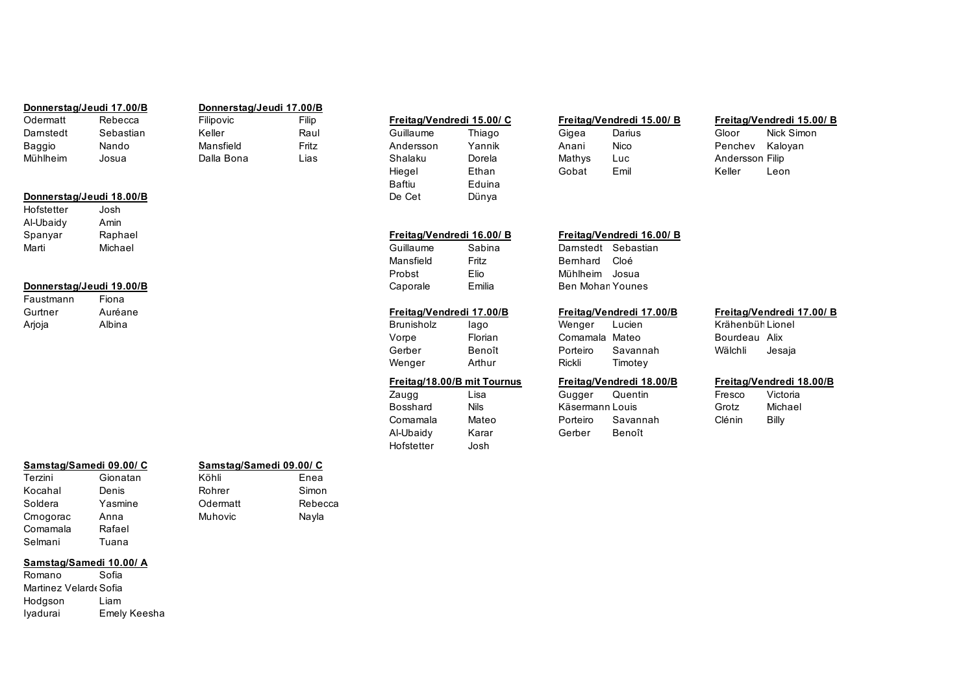### **Donnerstag/Jeudi 17.00/B Donnerstag/Jeudi 17.00/B**

### **Donnerstag/Jeudi 18.00/B** De Cet Dünya

Hofstetter Josh Al-Ubaidy Amin Spanyar Raphael **Freitag/Vendredi 16.00/ B Freitag/Vendredi 16.00/ B** Marti Michael Guillaume Sabina Darnstedt Sebastian

### **Donnerstag/Jeudi 19.00/B Caporale** Emilia Ben Moham Younes

Faustmann Fiona Arjoja Albina Brunisholz Iago Wenger Lucien KrähenbühlLionel

# Odermatt Rebecca Filipovic Filip **Freitag/Vendredi 15.00/ C Freitag/Vendredi 15.00/ B Freitag/Vendredi 15.00/ B** Darnstedt Sebastian Keller Raul Guillaume Thiago Gigea Darius Gloor Nick Simon Baggio Nando Mansfield Fritz Andersson Yannik Anani Nico Penchev Kaloyan

Mühlheim Josua Dalla Bona Lias Shalaku Dorela Mathys Luc Andersson Filip Hiegel Ethan Gobat Emil Keller Leon Baftiu Eduina

| <b>FIGILAY VEHUIGUI IJ.</b> |        |
|-----------------------------|--------|
| Gigea                       | Darius |
| Anani                       | Nico   |
| Mathys                      | Luc    |
|                             |        |

Mansfield Fritz Bernhard Cloé Probst Elio Mühlheim Josua

Vorpe Florian Comamala Mateo Bourdeau Alix Gerber Benoît Porteiro Savannah Wälchli Jesaja Wenger Arthur Rickli Timotey

Zaugg Lisa Gugger Quentin Fresco Victoria Bosshard Nils Käsermann Louis Grotz Michael Comamala Mateo Porteiro Savannah Clénin Billy Al-Ubaidy Karar Gerber Benoît Hofstetter Josh

|           | Frenag/vendredi 16.00/ |
|-----------|------------------------|
| Darnstedt | Sebastian              |

### Gurtner Auréane **Freitag/Vendredi 17.00/B Freitag/Vendredi 17.00/B Freitag/Vendredi 17.00/ B**

### **Freitag/18.00/B mit Tournus Freitag/Vendredi 18.00/B Freitag/Vendredi 18.00/B**

# Terzini Gionatan Köhli Enea Kocahal Denis Rohrer Simon Soldera Yasmine Odermatt Rebecca

Crnogorac Anna Muhovic Nayla Comamala Rafael Selmani Tuana

# **Samstag/Samedi 09.00/ C Samstag/Samedi 09.00/ C**

# **Samstag/Samedi 10.00/ A**

Romano Sofia Martinez Velarde Sofia Hodgson Liam Iyadurai Emely Keesha